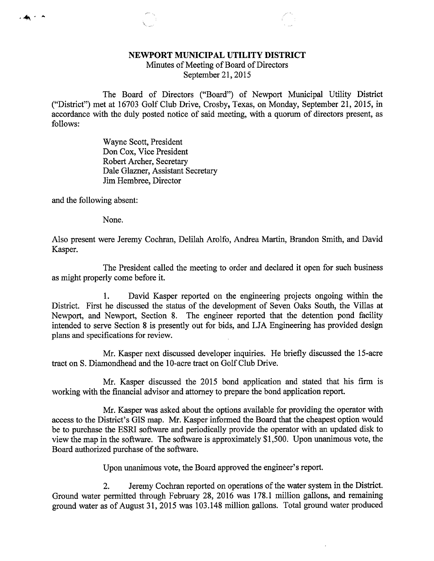## NEWPORT MUNICIPAL UTILITY DISTRICT

Minutes of Meeting of Board of Directors September 21, 2015

The Board of Directors ("Board") of Newport Municipal Utility District ("District") met at 16703 Golf Club Drive, Crosby, Texas, on Monday, September 21, 2015, in accordance with the duly posted notice of said meeting, with a quorum of directors present, as follows:

> Wayne Scott, President Don Cox, Vice President Robert Archer, Secretary Dale Glazner, Assistant Secretary Jim Hembree, Director

and the following absent:

 $-4$ 

None.

Also present were Jeremy Cochran, Delilah Arolfo, Andrea Martin, Brandon Smith, and David Kasper.

The President called the meeting to order and declared it open for such business as might properly come before it.

1. David Kasper reported on the engineering projects ongoing within the District. First he discussed the status of the development of Seven Oaks South, the Villas at Newport, and Newport, Section 8. The engineer reported that the detention pond facility intended to serve Section 8 is presently out for bids, and LJA Engineering has provided design plans and specifications for review.

Mr. Kasper next discussed developer inquiries. He briefly discussed the 15-acre tract on S. Diamondhead and the 10-acre tract on Golf Club Drive.

Mr. Kasper discussed the 2015 bond application and stated that his firm is working with the financial advisor and attorney to prepare the bond application report.

Mr. Kasper was asked about the options available for providing the operator with access to the District's GIS map. Mr. Kasper informed the Board that the cheapest option would be to purchase the ESRI software and periodically provide the operator with an updated disk to view the map in the software. The software is approximately \$1,500. Upon unanimous vote, the Board authorized purchase of the software.

Upon unanimous vote, the Board approved the engineer's report.

2. Jeremy Cochran reported on operations of the water system in the District. Ground water permitted through February 28, 2016 was 178.1 million gallons, and remaining ground water as of August 31, 2015 was 103.148 million gallons. Total ground water produced